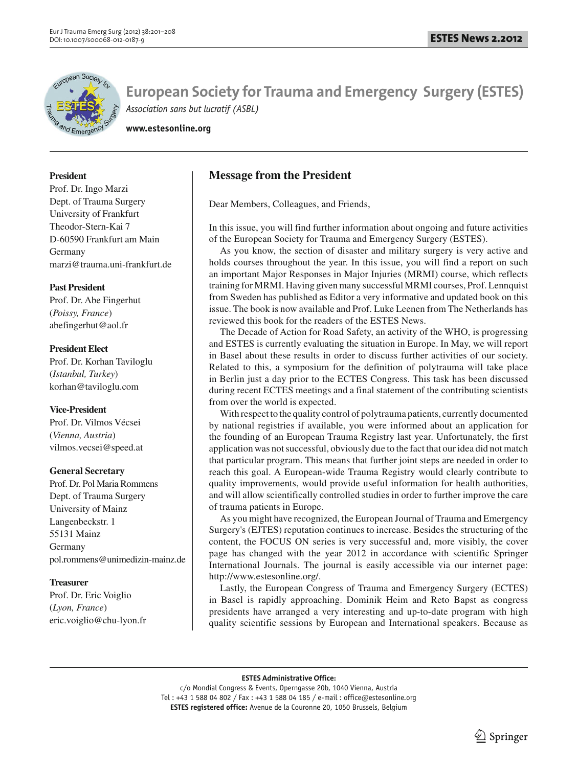

**www.estesonline.org**

## **President**

Prof. Dr. Ingo Marzi Dept. of Trauma Surgery University of Frankfurt Theodor-Stern-Kai 7 D-60590 Frankfurt am Main Germany marzi@trauma.uni-frankfurt.de

## **Past President**

Prof. Dr. Abe Fingerhut (*Poissy, France*) abefingerhut@aol.fr

## **President Elect**

Prof. Dr. Korhan Taviloglu (*Istanbul, Turkey*) korhan@taviloglu.com

## **Vice-President**

Prof. Dr. Vilmos Vécsei (*Vienna, Austria*) vilmos.vecsei@speed.at

## **General Secretary**

Prof. Dr. Pol Maria Rommens Dept. of Trauma Surgery University of Mainz Langenbeckstr. 1 55131 Mainz Germany pol.rommens@unimedizin-mainz.de

## **Treasurer**

Prof. Dr. Eric Voiglio (*Lyon, France*) eric.voiglio@chu-lyon.fr

# **Message from the President**

Dear Members, Colleagues, and Friends,

In this issue, you will find further information about ongoing and future activities of the European Society for Trauma and Emergency Surgery (ESTES).

As you know, the section of disaster and military surgery is very active and holds courses throughout the year. In this issue, you will find a report on such an important Major Responses in Major Injuries (MRMI) course, which reflects training for MRMI. Having given many successful MRMI courses, Prof. Lennquist from Sweden has published as Editor a very informative and updated book on this issue. The book is now available and Prof. Luke Leenen from The Netherlands has reviewed this book for the readers of the ESTES News.

The Decade of Action for Road Safety, an activity of the WHO, is progressing and ESTES is currently evaluating the situation in Europe. In May, we will report in Basel about these results in order to discuss further activities of our society. Related to this, a symposium for the definition of polytrauma will take place in Berlin just a day prior to the ECTES Congress. This task has been discussed during recent ECTES meetings and a final statement of the contributing scientists from over the world is expected.

With respect to the quality control of polytrauma patients, currently documented by national registries if available, you were informed about an application for the founding of an European Trauma Registry last year. Unfortunately, the first application was not successful, obviously due to the fact that our idea did not match that particular program. This means that further joint steps are needed in order to reach this goal. A European-wide Trauma Registry would clearly contribute to quality improvements, would provide useful information for health authorities, and will allow scientifically controlled studies in order to further improve the care of trauma patients in Europe.

As you might have recognized, the European Journal of Trauma and Emergency Surgery's (EJTES) reputation continues to increase. Besides the structuring of the content, the FOCUS ON series is very successful and, more visibly, the cover page has changed with the year 2012 in accordance with scientific Springer International Journals. The journal is easily accessible via our internet page: http://www.estesonline.org/.

Lastly, the European Congress of Trauma and Emergency Surgery (ECTES) in Basel is rapidly approaching. Dominik Heim and Reto Bapst as congress presidents have arranged a very interesting and up-to-date program with high quality scientific sessions by European and International speakers. Because as

#### **ESTES Administrative Office:**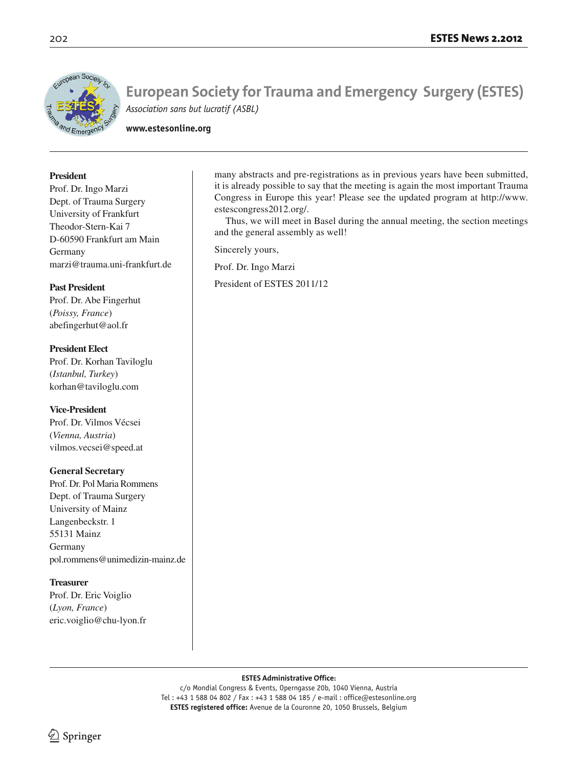

**www.estesonline.org**

## **President**

Prof. Dr. Ingo Marzi Dept. of Trauma Surgery University of Frankfurt Theodor-Stern-Kai 7 D-60590 Frankfurt am Main Germany marzi@trauma.uni-frankfurt.de

## **Past President**

Prof. Dr. Abe Fingerhut (*Poissy, France*) abefingerhut@aol.fr

**President Elect** Prof. Dr. Korhan Taviloglu (*Istanbul, Turkey*) korhan@taviloglu.com

## **Vice-President**

Prof. Dr. Vilmos Vécsei (*Vienna, Austria*) vilmos.vecsei@speed.at

### **General Secretary**

Prof. Dr. Pol Maria Rommens Dept. of Trauma Surgery University of Mainz Langenbeckstr. 1 55131 Mainz Germany pol.rommens@unimedizin-mainz.de

### **Treasurer**

Prof. Dr. Eric Voiglio (*Lyon, France*) eric.voiglio@chu-lyon.fr many abstracts and pre-registrations as in previous years have been submitted, it is already possible to say that the meeting is again the most important Trauma Congress in Europe this year! Please see the updated program at http://www. estescongress2012.org/.

Thus, we will meet in Basel during the annual meeting, the section meetings and the general assembly as well!

Sincerely yours,

Prof. Dr. Ingo Marzi

President of ESTES 2011/12

#### **ESTES Administrative Office:**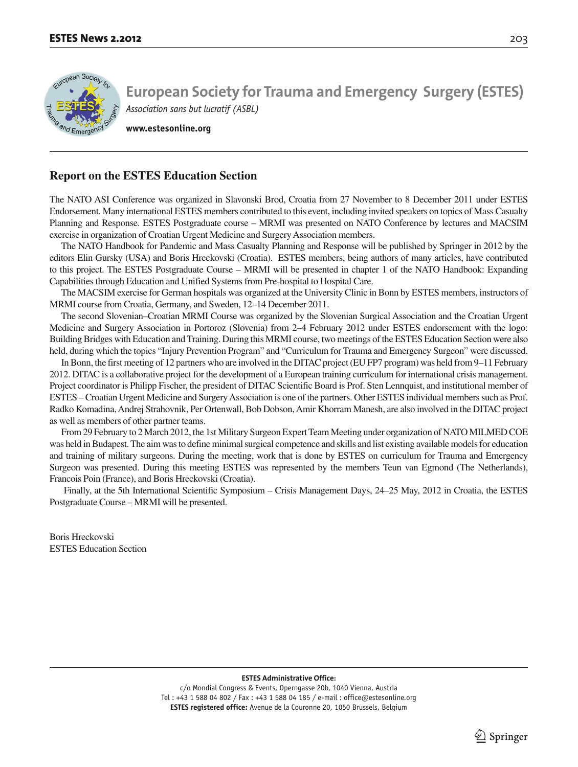

**www.estesonline.org**

## **Report on the ESTES Education Section**

The NATO ASI Conference was organized in Slavonski Brod, Croatia from 27 November to 8 December 2011 under ESTES Endorsement. Many international ESTES members contributed to this event, including invited speakers on topics of Mass Casualty Planning and Response. ESTES Postgraduate course – MRMI was presented on NATO Conference by lectures and MACSIM exercise in organization of Croatian Urgent Medicine and Surgery Association members.

The NATO Handbook for Pandemic and Mass Casualty Planning and Response will be published by Springer in 2012 by the editors Elin Gursky (USA) and Boris Hreckovski (Croatia). ESTES members, being authors of many articles, have contributed to this project. The ESTES Postgraduate Course – MRMI will be presented in chapter 1 of the NATO Handbook: Expanding Capabilities through Education and Unified Systems from Pre-hospital to Hospital Care.

The MACSIM exercise for German hospitals was organized at the University Clinic in Bonn by ESTES members, instructors of MRMI course from Croatia, Germany, and Sweden, 12–14 December 2011.

The second Slovenian–Croatian MRMI Course was organized by the Slovenian Surgical Association and the Croatian Urgent Medicine and Surgery Association in Portoroz (Slovenia) from 2–4 February 2012 under ESTES endorsement with the logo: Building Bridges with Education and Training. During this MRMI course, two meetings of the ESTES Education Section were also held, during which the topics "Injury Prevention Program" and "Curriculum for Trauma and Emergency Surgeon" were discussed.

In Bonn, the first meeting of 12 partners who are involved in the DITAC project (EU FP7 program) was held from 9–11 February 2012. DITAC is a collaborative project for the development of a European training curriculum for international crisis management. Project coordinator is Philipp Fischer, the president of DITAC Scientific Board is Prof. Sten Lennquist, and institutional member of ESTES – Croatian Urgent Medicine and Surgery Association is one of the partners. Other ESTES individual members such as Prof. Radko Komadina, Andrej Strahovnik, Per Ortenwall, Bob Dobson, Amir Khorram Manesh, are also involved in the DITAC project as well as members of other partner teams.

From 29 February to 2 March 2012, the 1st Military Surgeon Expert Team Meeting under organization of NATO MILMED COE was held in Budapest. The aim was to define minimal surgical competence and skills and list existing available models for education and training of military surgeons. During the meeting, work that is done by ESTES on curriculum for Trauma and Emergency Surgeon was presented. During this meeting ESTES was represented by the members Teun van Egmond (The Netherlands), Francois Poin (France), and Boris Hreckovski (Croatia).

 Finally, at the 5th International Scientific Symposium – Crisis Management Days, 24–25 May, 2012 in Croatia, the ESTES Postgraduate Course – MRMI will be presented.

Boris Hreckovski ESTES Education Section

**ESTES Administrative Office:**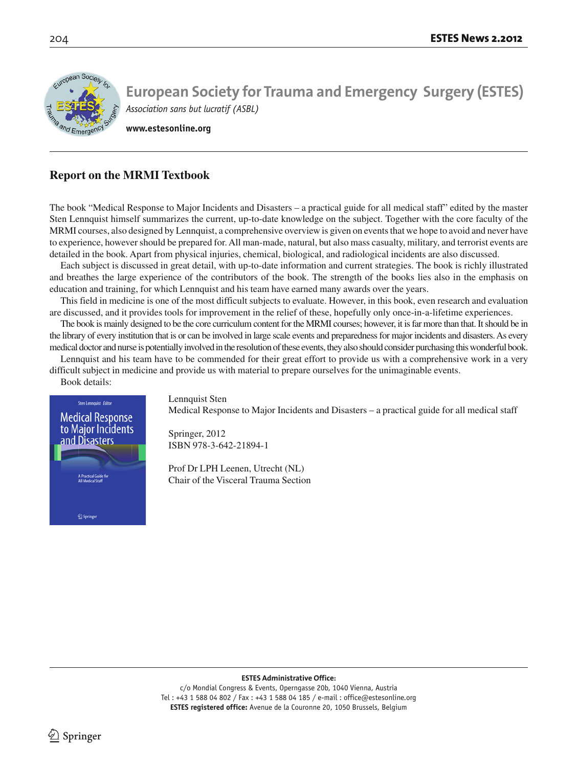

**www.estesonline.org**

# **Report on the MRMI Textbook**

The book "Medical Response to Major Incidents and Disasters – a practical guide for all medical staff" edited by the master Sten Lennquist himself summarizes the current, up-to-date knowledge on the subject. Together with the core faculty of the MRMI courses, also designed by Lennquist, a comprehensive overview is given on events that we hope to avoid and never have to experience, however should be prepared for. All man-made, natural, but also mass casualty, military, and terrorist events are detailed in the book. Apart from physical injuries, chemical, biological, and radiological incidents are also discussed.

Each subject is discussed in great detail, with up-to-date information and current strategies. The book is richly illustrated and breathes the large experience of the contributors of the book. The strength of the books lies also in the emphasis on education and training, for which Lennquist and his team have earned many awards over the years.

This field in medicine is one of the most difficult subjects to evaluate. However, in this book, even research and evaluation are discussed, and it provides tools for improvement in the relief of these, hopefully only once-in-a-lifetime experiences.

The book is mainly designed to be the core curriculum content for the MRMI courses; however, it is far more than that. It should be in the library of every institution that is or can be involved in large scale events and preparedness for major incidents and disasters. As every medical doctor and nurse is potentially involved in the resolution of these events, they also should consider purchasing this wonderful book.

Lennquist and his team have to be commended for their great effort to provide us with a comprehensive work in a very difficult subject in medicine and provide us with material to prepare ourselves for the unimaginable events.



Medical Response to Major Incidents and Disasters – a practical guide for all medical staff

Springer, 2012 ISBN 978-3-642-21894-1

Prof Dr LPH Leenen, Utrecht (NL) Chair of the Visceral Trauma Section

**ESTES Administrative Office:**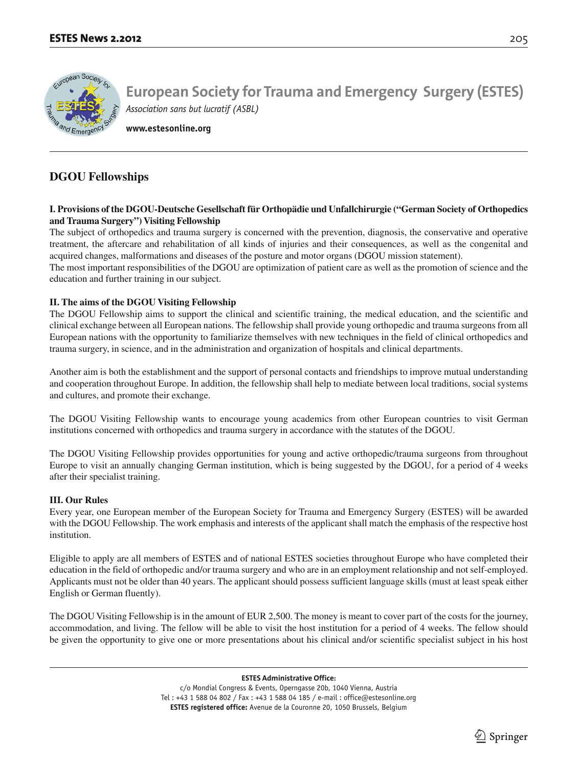

**www.estesonline.org**

# **DGOU Fellowships**

## **I. Provisions of the DGOU-Deutsche Gesellschaft für Orthopädie und Unfallchirurgie ("German Society of Orthopedics and Trauma Surgery") Visiting Fellowship**

The subject of orthopedics and trauma surgery is concerned with the prevention, diagnosis, the conservative and operative treatment, the aftercare and rehabilitation of all kinds of injuries and their consequences, as well as the congenital and acquired changes, malformations and diseases of the posture and motor organs (DGOU mission statement).

The most important responsibilities of the DGOU are optimization of patient care as well as the promotion of science and the education and further training in our subject.

## **II. The aims of the DGOU Visiting Fellowship**

The DGOU Fellowship aims to support the clinical and scientific training, the medical education, and the scientific and clinical exchange between all European nations. The fellowship shall provide young orthopedic and trauma surgeons from all European nations with the opportunity to familiarize themselves with new techniques in the field of clinical orthopedics and trauma surgery, in science, and in the administration and organization of hospitals and clinical departments.

Another aim is both the establishment and the support of personal contacts and friendships to improve mutual understanding and cooperation throughout Europe. In addition, the fellowship shall help to mediate between local traditions, social systems and cultures, and promote their exchange.

The DGOU Visiting Fellowship wants to encourage young academics from other European countries to visit German institutions concerned with orthopedics and trauma surgery in accordance with the statutes of the DGOU.

The DGOU Visiting Fellowship provides opportunities for young and active orthopedic/trauma surgeons from throughout Europe to visit an annually changing German institution, which is being suggested by the DGOU, for a period of 4 weeks after their specialist training.

## **III. Our Rules**

Every year, one European member of the European Society for Trauma and Emergency Surgery (ESTES) will be awarded with the DGOU Fellowship. The work emphasis and interests of the applicant shall match the emphasis of the respective host institution.

Eligible to apply are all members of ESTES and of national ESTES societies throughout Europe who have completed their education in the field of orthopedic and/or trauma surgery and who are in an employment relationship and not self-employed. Applicants must not be older than 40 years. The applicant should possess sufficient language skills (must at least speak either English or German fluently).

The DGOU Visiting Fellowship is in the amount of EUR 2,500. The money is meant to cover part of the costs for the journey, accommodation, and living. The fellow will be able to visit the host institution for a period of 4 weeks. The fellow should be given the opportunity to give one or more presentations about his clinical and/or scientific specialist subject in his host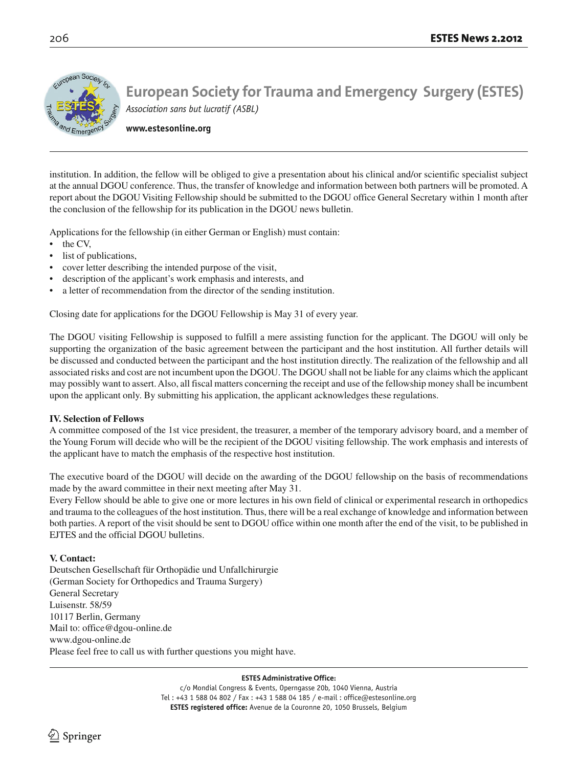

**www.estesonline.org**

institution. In addition, the fellow will be obliged to give a presentation about his clinical and/or scientific specialist subject at the annual DGOU conference. Thus, the transfer of knowledge and information between both partners will be promoted. A report about the DGOU Visiting Fellowship should be submitted to the DGOU office General Secretary within 1 month after the conclusion of the fellowship for its publication in the DGOU news bulletin.

Applications for the fellowship (in either German or English) must contain:

- the CV,
- list of publications,
- cover letter describing the intended purpose of the visit,
- description of the applicant's work emphasis and interests, and
- a letter of recommendation from the director of the sending institution.

Closing date for applications for the DGOU Fellowship is May 31 of every year.

The DGOU visiting Fellowship is supposed to fulfill a mere assisting function for the applicant. The DGOU will only be supporting the organization of the basic agreement between the participant and the host institution. All further details will be discussed and conducted between the participant and the host institution directly. The realization of the fellowship and all associated risks and cost are not incumbent upon the DGOU. The DGOU shall not be liable for any claims which the applicant may possibly want to assert. Also, all fiscal matters concerning the receipt and use of the fellowship money shall be incumbent upon the applicant only. By submitting his application, the applicant acknowledges these regulations.

## **IV. Selection of Fellows**

A committee composed of the 1st vice president, the treasurer, a member of the temporary advisory board, and a member of the Young Forum will decide who will be the recipient of the DGOU visiting fellowship. The work emphasis and interests of the applicant have to match the emphasis of the respective host institution.

The executive board of the DGOU will decide on the awarding of the DGOU fellowship on the basis of recommendations made by the award committee in their next meeting after May 31.

Every Fellow should be able to give one or more lectures in his own field of clinical or experimental research in orthopedics and trauma to the colleagues of the host institution. Thus, there will be a real exchange of knowledge and information between both parties. A report of the visit should be sent to DGOU office within one month after the end of the visit, to be published in EJTES and the official DGOU bulletins.

## **V. Contact:**

Deutschen Gesellschaft für Orthopädie und Unfallchirurgie (German Society for Orthopedics and Trauma Surgery) General Secretary Luisenstr. 58/59 10117 Berlin, Germany Mail to: office@dgou-online.de www.dgou-online.de Please feel free to call us with further questions you might have.

#### **ESTES Administrative Office:**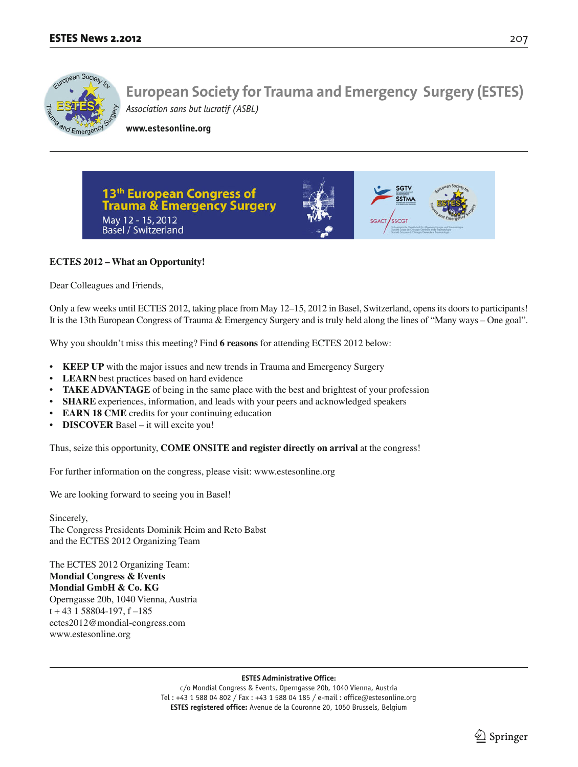

**www.estesonline.org**



## **ECTES 2012 – What an Opportunity!**

Dear Colleagues and Friends,

Only a few weeks until ECTES 2012, taking place from May 12–15, 2012 in Basel, Switzerland, opens its doors to participants! It is the 13th European Congress of Trauma & Emergency Surgery and is truly held along the lines of "Many ways – One goal".

Why you shouldn't miss this meeting? Find **6 reasons** for attending ECTES 2012 below:

- **KEEP UP** with the major issues and new trends in Trauma and Emergency Surgery
- **LEARN** best practices based on hard evidence
- **TAKE ADVANTAGE** of being in the same place with the best and brightest of your profession
- SHARE experiences, information, and leads with your peers and acknowledged speakers
- **EARN 18 CME** credits for your continuing education
- **DISCOVER** Basel it will excite you!

Thus, seize this opportunity, **COME ONSITE and register directly on arrival** at the congress!

For further information on the congress, please visit: www.estesonline.org

We are looking forward to seeing you in Basel!

Sincerely, The Congress Presidents Dominik Heim and Reto Babst and the ECTES 2012 Organizing Team

The ECTES 2012 Organizing Team: **Mondial Congress & Events Mondial GmbH & Co. KG** Operngasse 20b, 1040 Vienna, Austria t + 43 1 58804-197, f –185 ectes2012@mondial-congress.com www.estesonline.org

#### **ESTES Administrative Office:**